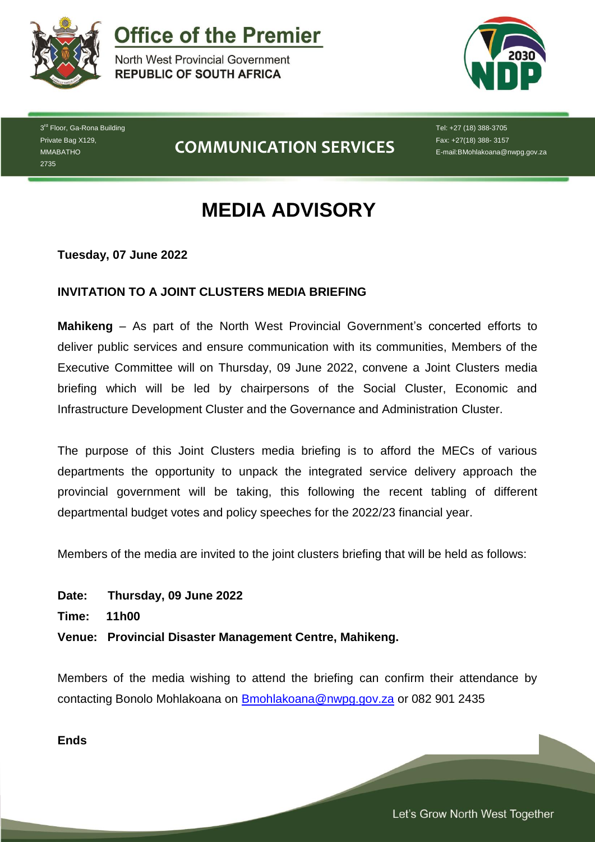

**Office of the Premier** 

North West Provincial Government **REPUBLIC OF SOUTH AFRICA** 



3<sup>rd</sup> Floor, Ga-Rona Building Private Bag X129, MMABATHO 2735

**COMMUNICATION SERVICES**

Tel: +27 (18) 388-3705 Fax: +27(18) 388- 3157 E-mail:BMohlakoana@nwpg.gov.za

## **MEDIA ADVISORY**

**Tuesday, 07 June 2022**

## **INVITATION TO A JOINT CLUSTERS MEDIA BRIEFING**

**Mahikeng** – As part of the North West Provincial Government's concerted efforts to deliver public services and ensure communication with its communities, Members of the Executive Committee will on Thursday, 09 June 2022, convene a Joint Clusters media briefing which will be led by chairpersons of the Social Cluster, Economic and Infrastructure Development Cluster and the Governance and Administration Cluster.

The purpose of this Joint Clusters media briefing is to afford the MECs of various departments the opportunity to unpack the integrated service delivery approach the provincial government will be taking, this following the recent tabling of different departmental budget votes and policy speeches for the 2022/23 financial year.

Members of the media are invited to the joint clusters briefing that will be held as follows:

**Date: Thursday, 09 June 2022**

**Time: 11h00**

**Venue: Provincial Disaster Management Centre, Mahikeng.**

Members of the media wishing to attend the briefing can confirm their attendance by contacting Bonolo Mohlakoana on [Bmohlakoana@nwpg.gov.za](mailto:Bmohlakoana@nwpg.gov.za) or 082 901 2435

*Let's Grow North West Together* 

**Ends**

Let's Grow North West Together